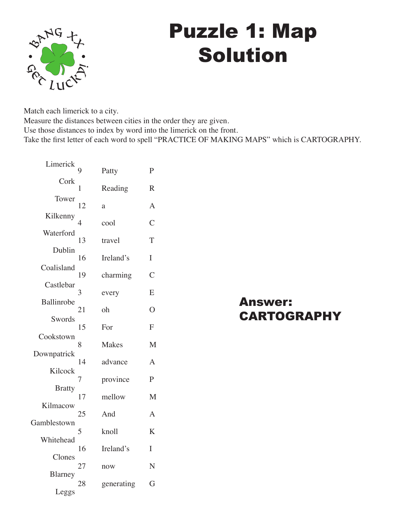

## Puzzle 1: Map Solution

Match each limerick to a city.

Measure the distances between cities in the order they are given.

Use those distances to index by word into the limerick on the front.

Take the first letter of each word to spell "PRACTICE OF MAKING MAPS" which is CARTOGRAPHY.

| Limerick      |    |            |                |
|---------------|----|------------|----------------|
|               |    | Patty      | P              |
| Cork          | 1  | Reading    | $\mathbb{R}$   |
| Tower         | 12 | a          | $\overline{A}$ |
| Kilkenny      | 4  | cool       | $\overline{C}$ |
| Waterford     | 13 | travel     | T              |
| Dublin        | 16 | Ireland's  | I              |
| Coalisland    | 19 | charming   | $\overline{C}$ |
| Castlebar     | 3  | every      | E              |
| Ballinrobe    | 21 | oh         | $\overline{O}$ |
| Swords        |    |            |                |
| Cookstown     | 15 | For        | F              |
|               | 8  | Makes      | M              |
| Downpatrick   | 14 | advance    | A              |
| Kilcock       | 7  | province   | $\overline{P}$ |
| <b>Bratty</b> |    |            |                |
| Kilmacow      | 17 | mellow     | M              |
|               | 25 | And        | $\overline{A}$ |
| Gamblestown   | 5  | knoll      | K              |
| Whitehead     | 16 | Ireland's  | I              |
| Clones        | 27 | now        | N              |
| Blarney       |    |            |                |
| Leggs         | 28 | generating | G              |

Answer: **CARTOGRAPHY**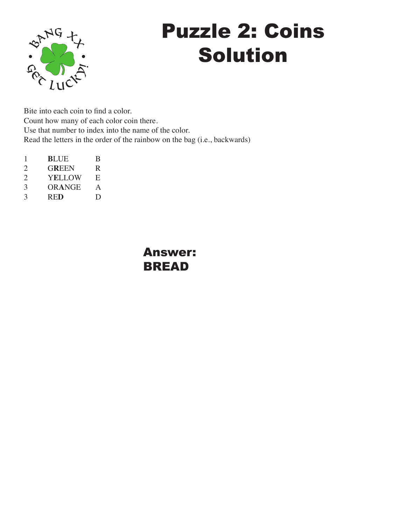

# Puzzle 2: Coins Solution

Bite into each coin to find a color. Count how many of each color coin there. Use that number to index into the name of the color. Read the letters in the order of the rainbow on the bag (i.e., backwards)

1 **B**LUE B 2 G**R**EEN R 2 YELLOW E<br>3 ORANGE A 3 OR**A**NGE A 3 RE**D** D

> Answer: BREAD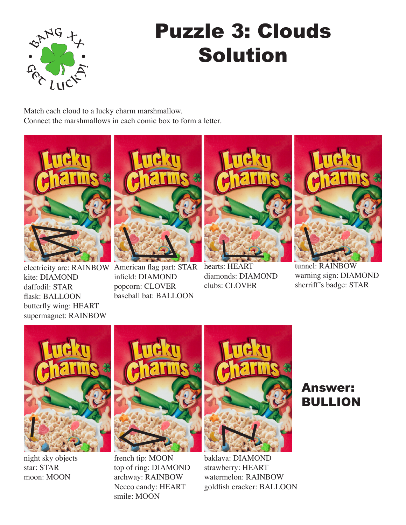

# Puzzle 3: Clouds Solution

Match each cloud to a lucky charm marshmallow. Connect the marshmallows in each comic box to form a letter.



electricity arc: RAINBOW American flag part: STAR kite: DIAMOND daffodil: STAR flask: BALLOON butterfly wing: HEART supermagnet: RAINBOW



infield: DIAMOND popcorn: CLOVER baseball bat: BALLOON



hearts: HEART diamonds: DIAMOND clubs: CLOVER



tunnel: RAINBOW warning sign: DIAMOND sherriff's badge: STAR



night sky objects star: STAR moon: MOON



french tip: MOON top of ring: DIAMOND archway: RAINBOW Necco candy: HEART smile: MOON



baklava: DIAMOND strawberry: HEART watermelon: RAINBOW goldfish cracker: BALLOON

### Answer: BULLION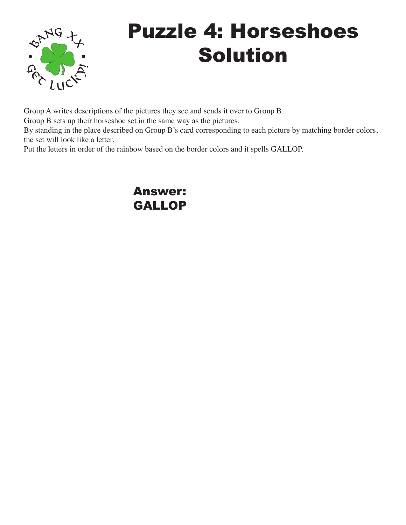

# Puzzle 4: Horseshoes Solution

Group A writes descriptions of the pictures they see and sends it over to Group B.

Group B sets up their horseshoe set in the same way as the pictures.

By standing in the place described on Group B's card corresponding to each picture by matching border colors, the set will look like a letter.

Put the letters in order of the rainbow based on the border colors and it spells GALLOP.

#### Answer: GALLOP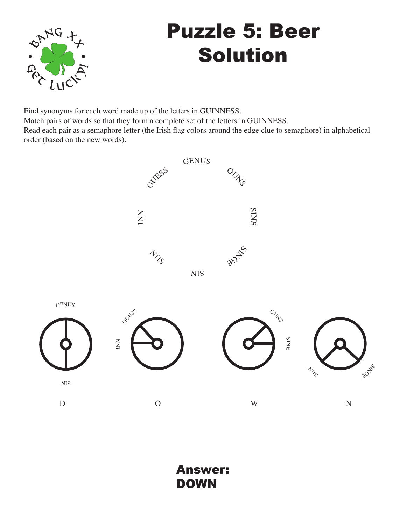

# Puzzle 5: Beer Solution

Find synonyms for each word made up of the letters in GUINNESS. Match pairs of words so that they form a complete set of the letters in GUINNESS. Read each pair as a semaphore letter (the Irish flag colors around the edge clue to semaphore) in alphabetical order (based on the new words).

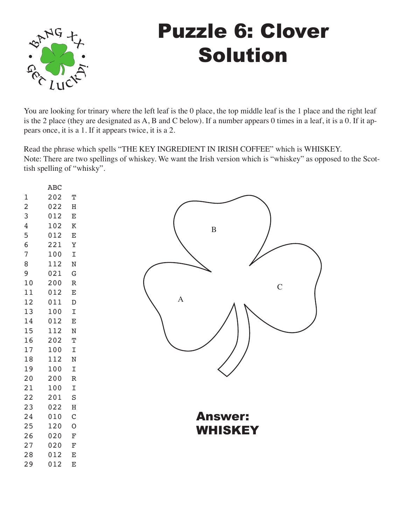

## Puzzle 6: Clover Solution

You are looking for trinary where the left leaf is the 0 place, the top middle leaf is the 1 place and the right leaf is the 2 place (they are designated as A, B and C below). If a number appears 0 times in a leaf, it is a 0. If it appears once, it is a 1. If it appears twice, it is a 2.

Read the phrase which spells "THE KEY INGREDIENT IN IRISH COFFEE" which is WHISKEY. Note: There are two spellings of whiskey. We want the Irish version which is "whiskey" as opposed to the Scottish spelling of "whisky".

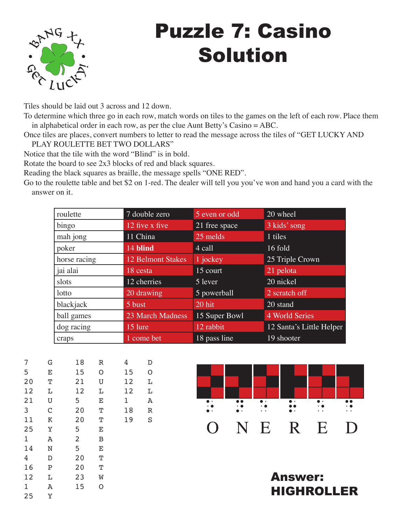

# Puzzle 7: Casino Solution

Tiles should be laid out 3 across and 12 down.

To determine which three go in each row, match words on tiles to the games on the left of each row. Place them in alphabetical order in each row, as per the clue Aunt Betty's Casino = ABC.

Once tiles are places, convert numbers to letter to read the message across the tiles of "GET LUCKY AND PLAY ROULETTE BET TWO DOLLARS"

Notice that the tile with the word "Blind" is in bold.

Rotate the board to see 2x3 blocks of red and black squares.

Reading the black squares as braille, the message spells "ONE RED".

Go to the roulette table and bet \$2 on 1-red. The dealer will tell you you've won and hand you a card with the answer on it.

| roulette     | 7 double zero            | 5 even or odd | 20 wheel                 |
|--------------|--------------------------|---------------|--------------------------|
| bingo        | 12 five x five           | 21 free space | 3 kids' song             |
| mah jong     | 11 China                 | 25 melds      | 1 tiles                  |
| poker        | 14 blind                 | 4 call        | 16 fold                  |
| horse racing | <b>12 Belmont Stakes</b> | 1 jockey      | 25 Triple Crown          |
| jai alai     | 18 cesta                 | 15 court      | 21 pelota                |
| slots        | 12 cherries              | 5 lever       | 20 nickel                |
| lotto        | 20 drawing               | 5 powerball   | 2 scratch off            |
| blackjack    | 5 bust                   | 20 hit        | 20 stand                 |
| ball games   | 23 March Madness         | 15 Super Bowl | 4 World Series           |
| dog racing   | 15 lure                  | 12 rabbit     | 12 Santa's Little Helper |
| craps        | 1 come bet               | 18 pass line  | 19 shooter               |

| 7  | G           | 18             | R | 4  | D |
|----|-------------|----------------|---|----|---|
| 5  | E           | 15             | O | 15 | O |
| 20 | Т           | 21             | U | 12 | Г |
| 12 | L           | 12             | L | 12 | L |
| 21 | U           | 5              | E | 1  | Α |
| 3  | $\mathsf C$ | 20             | Т | 18 | R |
| 11 | Κ           | 20             | Т | 19 | S |
| 25 | Υ           | 5              | E |    |   |
| 1  | Α           | $\overline{c}$ | B |    |   |
| 14 | N           | 5              | E |    |   |
| 4  | D           | 20             | Т |    |   |
| 16 | Ρ           | 20             | Т |    |   |
| 12 | L           | 23             | W |    |   |
| 1  | Α           | 15             | O |    |   |
| 25 | Υ           |                |   |    |   |



Answer: HIGHROLLER